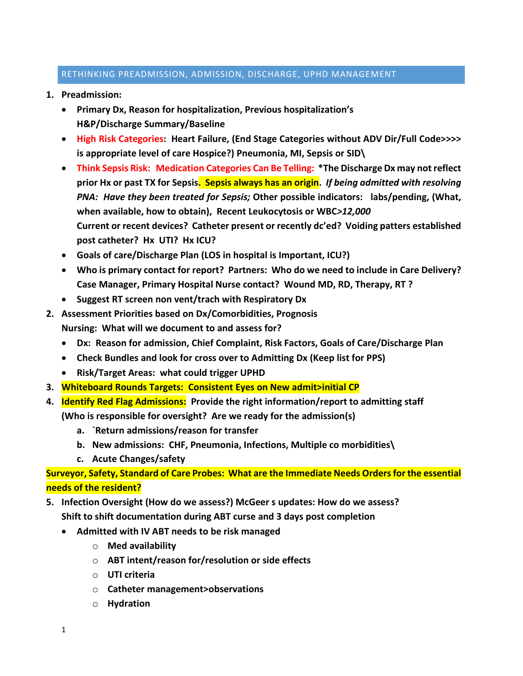## RETHINKING PREADMISSION, ADMISSION, DISCHARGE, UPHD MANAGEMENT

- **1. Preadmission:** 
	- **Primary Dx, Reason for hospitalization, Previous hospitalization's H&P/Discharge Summary/Baseline**
	- **High Risk Categories: Heart Failure, (End Stage Categories without ADV Dir/Full Code>>>> is appropriate level of care Hospice?) Pneumonia, MI, Sepsis or SID\**
	- **Think Sepsis Risk: Medication Categories Can Be Telling: \*The Discharge Dx may not reflect prior Hx or past TX for Sepsis. Sepsis always has an origin.** *If being admitted with resolving PNA: Have they been treated for Sepsis;* **Other possible indicators: labs/pending, (What, when available, how to obtain), Recent Leukocytosis or WBC***>12,000* **Current or recent devices? Catheter present or recently dc'ed? Voiding patters established post catheter? Hx UTI? Hx ICU?**
	- **Goals of care/Discharge Plan (LOS in hospital is Important, ICU?)**
	- **Who is primary contact for report? Partners: Who do we need to include in Care Delivery? Case Manager, Primary Hospital Nurse contact? Wound MD, RD, Therapy, RT ?**
	- **Suggest RT screen non vent/trach with Respiratory Dx**
- **2. Assessment Priorities based on Dx/Comorbidities, Prognosis Nursing: What will we document to and assess for?**
	- **Dx: Reason for admission, Chief Complaint, Risk Factors, Goals of Care/Discharge Plan**
	- **Check Bundles and look for cross over to Admitting Dx (Keep list for PPS)**
	- **Risk/Target Areas: what could trigger UPHD**
- **3. Whiteboard Rounds Targets: Consistent Eyes on New admit>initial CP**
- **4. Identify Red Flag Admissions: Provide the right information/report to admitting staff**

**(Who is responsible for oversight? Are we ready for the admission(s)**

- **a. `Return admissions/reason for transfer**
- **b. New admissions: CHF, Pneumonia, Infections, Multiple co morbidities\**
- **c. Acute Changes/safety**

**Surveyor, Safety, Standard of Care Probes: What are the Immediate Needs Orders for the essential needs of the resident?** 

- **5. Infection Oversight (How do we assess?) McGeer s updates: How do we assess? Shift to shift documentation during ABT curse and 3 days post completion**
	- **Admitted with IV ABT needs to be risk managed**
		- o **Med availability**
		- o **ABT intent/reason for/resolution or side effects**
		- o **UTI criteria**
		- o **Catheter management>observations**
		- o **Hydration**